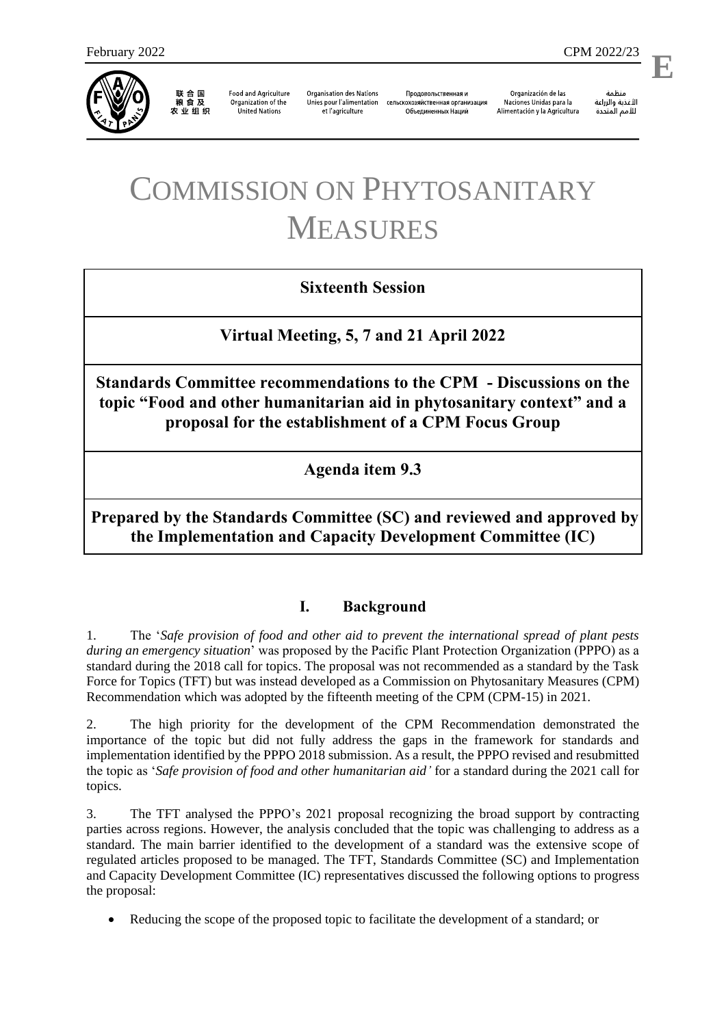

联合国<br>粮食及 农业组织

**Food and Agriculture** Organization of the **United Nations** 

**Organisation des Nations** Unies pour l'alimentation et l'agriculture

Продовольственная и сельскохозяйственная организация Объелиненных Наций

Organización de las Naciones Unidas para la Alimentación y la Agricultura

منظمة الأغذية والزراعة للأمم المتحدة

l,

# COMMISSION ON PHYTOSANITARY MEASURES

## **Sixteenth Session**

**Virtual Meeting, 5, 7 and 21 April 2022**

**Standards Committee recommendations to the CPM - Discussions on the topic "Food and other humanitarian aid in phytosanitary context" and a proposal for the establishment of a CPM Focus Group**

**Agenda item 9.3**

**Prepared by the Standards Committee (SC) and reviewed and approved by the Implementation and Capacity Development Committee (IC)**

## **I. Background**

1. The '*Safe provision of food and other aid to prevent the international spread of plant pests during an emergency situation*' was proposed by the Pacific Plant Protection Organization (PPPO) as a standard during the 2018 call for topics. The proposal was not recommended as a standard by the Task Force for Topics (TFT) but was instead developed as a Commission on Phytosanitary Measures (CPM) Recommendation which was adopted by the fifteenth meeting of the CPM (CPM-15) in 2021.

2. The high priority for the development of the CPM Recommendation demonstrated the importance of the topic but did not fully address the gaps in the framework for standards and implementation identified by the PPPO 2018 submission. As a result, the PPPO revised and resubmitted the topic as '*Safe provision of food and other humanitarian aid'* for a standard during the 2021 call for topics.

3. The TFT analysed the PPPO's 2021 proposal recognizing the broad support by contracting parties across regions. However, the analysis concluded that the topic was challenging to address as a standard. The main barrier identified to the development of a standard was the extensive scope of regulated articles proposed to be managed. The TFT, Standards Committee (SC) and Implementation and Capacity Development Committee (IC) representatives discussed the following options to progress the proposal:

Reducing the scope of the proposed topic to facilitate the development of a standard; or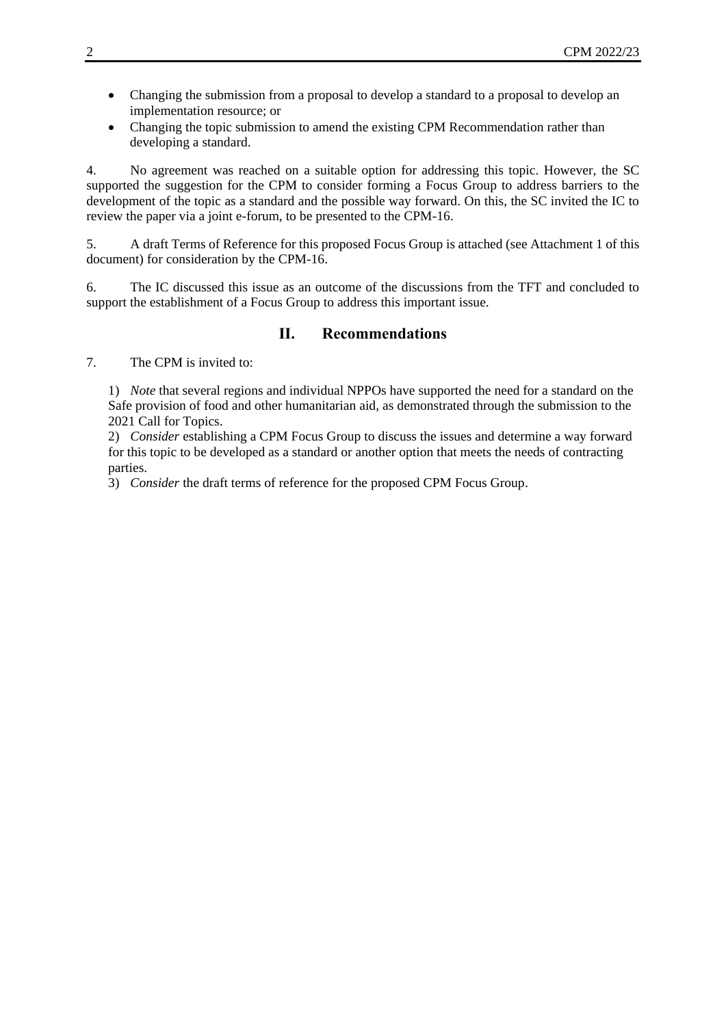- Changing the submission from a proposal to develop a standard to a proposal to develop an implementation resource; or
- Changing the topic submission to amend the existing CPM Recommendation rather than developing a standard.

4. No agreement was reached on a suitable option for addressing this topic. However, the SC supported the suggestion for the CPM to consider forming a Focus Group to address barriers to the development of the topic as a standard and the possible way forward. On this, the SC invited the IC to review the paper via a joint e-forum, to be presented to the CPM-16.

5. A draft Terms of Reference for this proposed Focus Group is attached (see Attachment 1 of this document) for consideration by the CPM-16.

6. The IC discussed this issue as an outcome of the discussions from the TFT and concluded to support the establishment of a Focus Group to address this important issue.

## **II. Recommendations**

7. The CPM is invited to:

1) *Note* that several regions and individual NPPOs have supported the need for a standard on the Safe provision of food and other humanitarian aid, as demonstrated through the submission to the 2021 Call for Topics.

2) *Consider* establishing a CPM Focus Group to discuss the issues and determine a way forward for this topic to be developed as a standard or another option that meets the needs of contracting parties.

3) *Consider* the draft terms of reference for the proposed CPM Focus Group.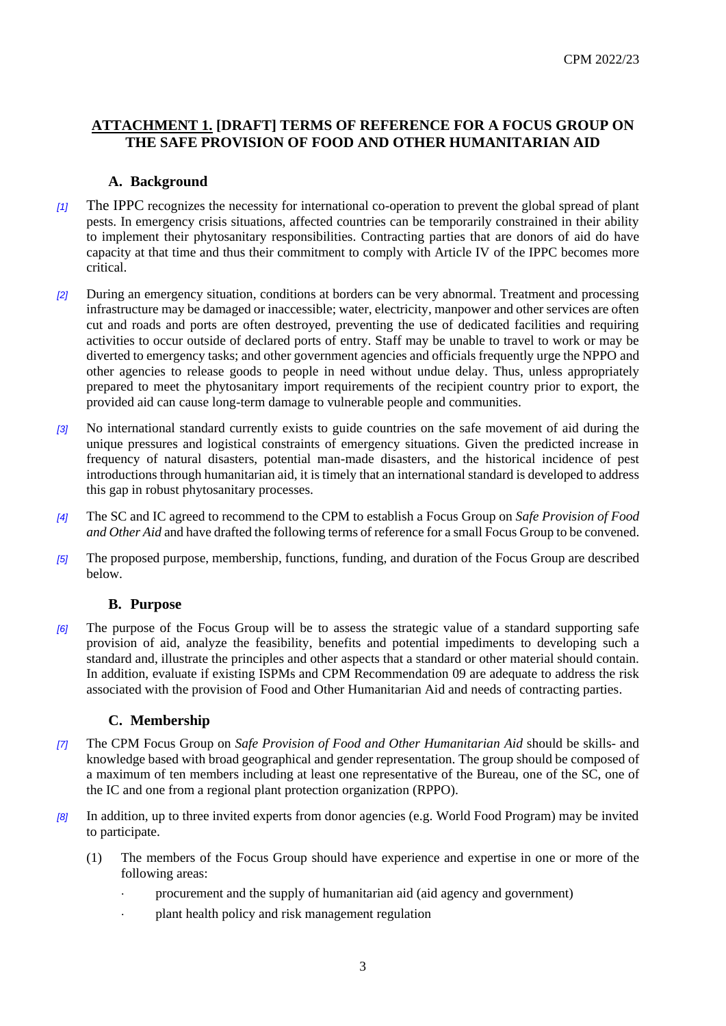## **ATTACHMENT 1. [DRAFT] TERMS OF REFERENCE FOR A FOCUS GROUP ON THE SAFE PROVISION OF FOOD AND OTHER HUMANITARIAN AID**

#### **A. Background**

- *[1]* The IPPC recognizes the necessity for international co-operation to prevent the global spread of plant pests. In emergency crisis situations, affected countries can be temporarily constrained in their ability to implement their phytosanitary responsibilities. Contracting parties that are donors of aid do have capacity at that time and thus their commitment to comply with Article IV of the IPPC becomes more critical.
- *[2]* During an emergency situation, conditions at borders can be very abnormal. Treatment and processing infrastructure may be damaged or inaccessible; water, electricity, manpower and other services are often cut and roads and ports are often destroyed, preventing the use of dedicated facilities and requiring activities to occur outside of declared ports of entry. Staff may be unable to travel to work or may be diverted to emergency tasks; and other government agencies and officials frequently urge the NPPO and other agencies to release goods to people in need without undue delay. Thus, unless appropriately prepared to meet the phytosanitary import requirements of the recipient country prior to export, the provided aid can cause long-term damage to vulnerable people and communities.
- *[3]* No international standard currently exists to guide countries on the safe movement of aid during the unique pressures and logistical constraints of emergency situations. Given the predicted increase in frequency of natural disasters, potential man-made disasters, and the historical incidence of pest introductions through humanitarian aid, it is timely that an international standard is developed to address this gap in robust phytosanitary processes.
- *[4]* The SC and IC agreed to recommend to the CPM to establish a Focus Group on *Safe Provision of Food and Other Aid* and have drafted the following terms of reference for a small Focus Group to be convened.
- *[5]* The proposed purpose, membership, functions, funding, and duration of the Focus Group are described below.

#### **B. Purpose**

*[6]* The purpose of the Focus Group will be to assess the strategic value of a standard supporting safe provision of aid, analyze the feasibility, benefits and potential impediments to developing such a standard and, illustrate the principles and other aspects that a standard or other material should contain. In addition, evaluate if existing ISPMs and CPM Recommendation 09 are adequate to address the risk associated with the provision of Food and Other Humanitarian Aid and needs of contracting parties.

#### **C. Membership**

- *[7]* The CPM Focus Group on *Safe Provision of Food and Other Humanitarian Aid* should be skills- and knowledge based with broad geographical and gender representation. The group should be composed of a maximum of ten members including at least one representative of the Bureau, one of the SC, one of the IC and one from a regional plant protection organization (RPPO).
- *[8]* In addition, up to three invited experts from donor agencies (e.g. World Food Program) may be invited to participate.
	- (1) The members of the Focus Group should have experience and expertise in one or more of the following areas:
		- procurement and the supply of humanitarian aid (aid agency and government)
		- plant health policy and risk management regulation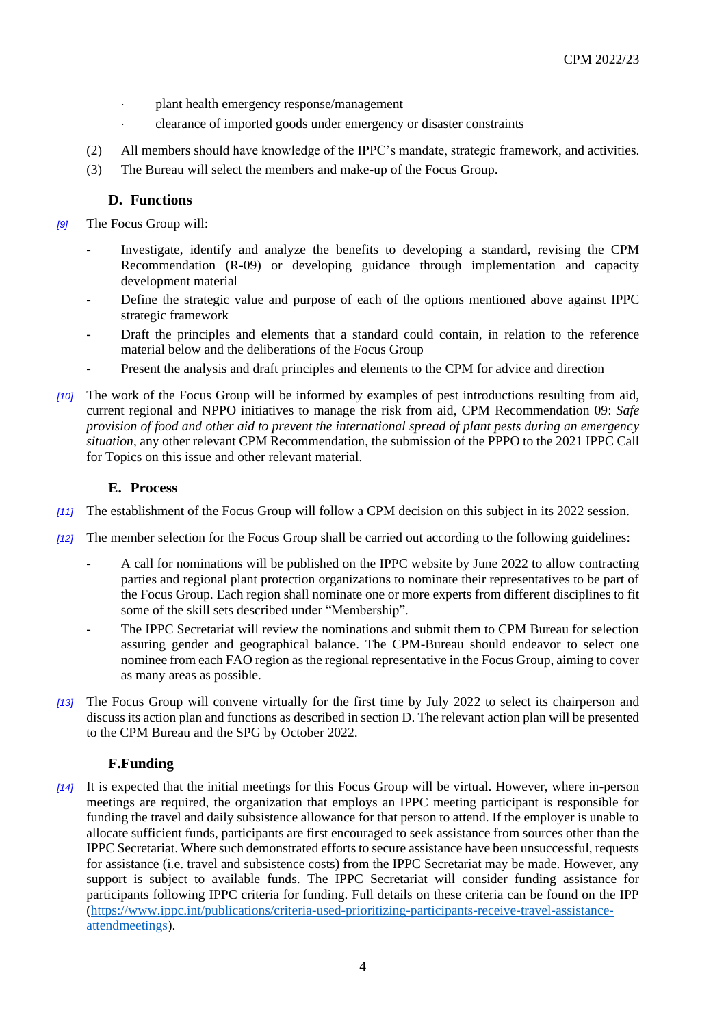- plant health emergency response/management
- clearance of imported goods under emergency or disaster constraints
- (2) All members should have knowledge of the IPPC's mandate, strategic framework, and activities.
- (3) The Bureau will select the members and make-up of the Focus Group.

## **D. Functions**

- *[9]* The Focus Group will:
	- Investigate, identify and analyze the benefits to developing a standard, revising the CPM Recommendation (R-09) or developing guidance through implementation and capacity development material
	- Define the strategic value and purpose of each of the options mentioned above against IPPC strategic framework
	- Draft the principles and elements that a standard could contain, in relation to the reference material below and the deliberations of the Focus Group
	- Present the analysis and draft principles and elements to the CPM for advice and direction
- *[10]* The work of the Focus Group will be informed by examples of pest introductions resulting from aid, current regional and NPPO initiatives to manage the risk from aid, CPM Recommendation 09: *Safe provision of food and other aid to prevent the international spread of plant pests during an emergency situation*, any other relevant CPM Recommendation, the submission of the PPPO to the 2021 IPPC Call for Topics on this issue and other relevant material.

#### **E. Process**

- *[11]* The establishment of the Focus Group will follow a CPM decision on this subject in its 2022 session.
- *[12]* The member selection for the Focus Group shall be carried out according to the following guidelines:
	- A call for nominations will be published on the IPPC website by June 2022 to allow contracting parties and regional plant protection organizations to nominate their representatives to be part of the Focus Group. Each region shall nominate one or more experts from different disciplines to fit some of the skill sets described under "Membership".
	- The IPPC Secretariat will review the nominations and submit them to CPM Bureau for selection assuring gender and geographical balance. The CPM-Bureau should endeavor to select one nominee from each FAO region as the regional representative in the Focus Group, aiming to cover as many areas as possible.
- *[13]* The Focus Group will convene virtually for the first time by July 2022 to select its chairperson and discuss its action plan and functions as described in section D. The relevant action plan will be presented to the CPM Bureau and the SPG by October 2022.

#### **F.Funding**

*[14]* It is expected that the initial meetings for this Focus Group will be virtual. However, where in-person meetings are required, the organization that employs an IPPC meeting participant is responsible for funding the travel and daily subsistence allowance for that person to attend. If the employer is unable to allocate sufficient funds, participants are first encouraged to seek assistance from sources other than the IPPC Secretariat. Where such demonstrated efforts to secure assistance have been unsuccessful, requests for assistance (i.e. travel and subsistence costs) from the IPPC Secretariat may be made. However, any support is subject to available funds. The IPPC Secretariat will consider funding assistance for participants following IPPC criteria for funding. Full details on these criteria can be found on the IPP [\(https://www.ippc.int/publications/criteria-used-prioritizing-participants-receive-travel-assistance](https://www.ippc.int/publications/criteria-used-prioritizing-participants-receive-travel-assistance-attendmeetings)[attendmeetings\)](https://www.ippc.int/publications/criteria-used-prioritizing-participants-receive-travel-assistance-attendmeetings).